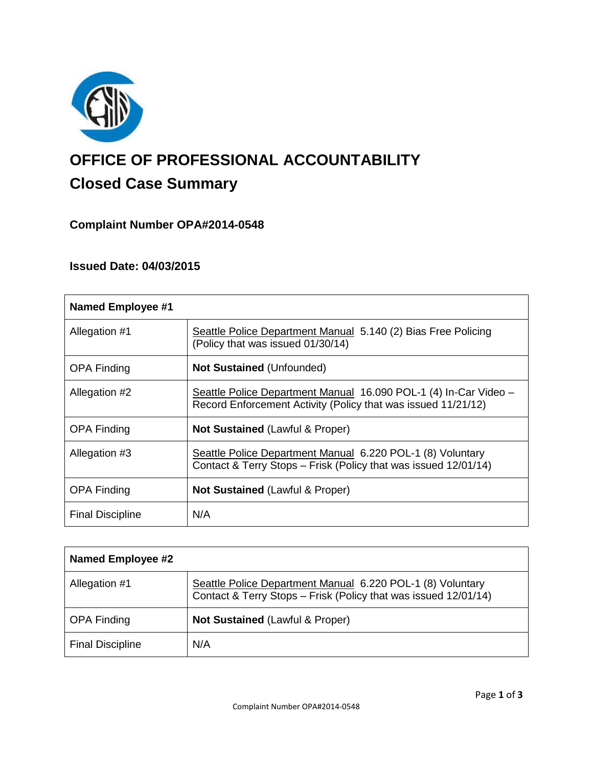

# **OFFICE OF PROFESSIONAL ACCOUNTABILITY Closed Case Summary**

# **Complaint Number OPA#2014-0548**

## **Issued Date: 04/03/2015**

| <b>Named Employee #1</b> |                                                                                                                                   |
|--------------------------|-----------------------------------------------------------------------------------------------------------------------------------|
| Allegation #1            | Seattle Police Department Manual 5.140 (2) Bias Free Policing<br>(Policy that was issued 01/30/14)                                |
| <b>OPA Finding</b>       | <b>Not Sustained (Unfounded)</b>                                                                                                  |
| Allegation #2            | Seattle Police Department Manual 16.090 POL-1 (4) In-Car Video –<br>Record Enforcement Activity (Policy that was issued 11/21/12) |
| <b>OPA Finding</b>       | <b>Not Sustained (Lawful &amp; Proper)</b>                                                                                        |
| Allegation #3            | Seattle Police Department Manual 6.220 POL-1 (8) Voluntary<br>Contact & Terry Stops - Frisk (Policy that was issued 12/01/14)     |
| <b>OPA Finding</b>       | <b>Not Sustained (Lawful &amp; Proper)</b>                                                                                        |
| <b>Final Discipline</b>  | N/A                                                                                                                               |

| <b>Named Employee #2</b> |                                                                                                                               |
|--------------------------|-------------------------------------------------------------------------------------------------------------------------------|
| Allegation #1            | Seattle Police Department Manual 6.220 POL-1 (8) Voluntary<br>Contact & Terry Stops - Frisk (Policy that was issued 12/01/14) |
| <b>OPA Finding</b>       | <b>Not Sustained (Lawful &amp; Proper)</b>                                                                                    |
| <b>Final Discipline</b>  | N/A                                                                                                                           |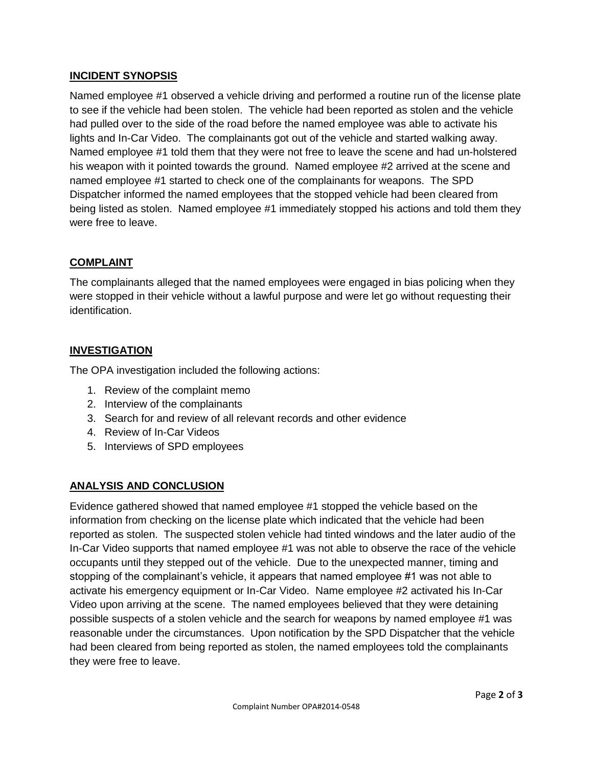## **INCIDENT SYNOPSIS**

Named employee #1 observed a vehicle driving and performed a routine run of the license plate to see if the vehicle had been stolen. The vehicle had been reported as stolen and the vehicle had pulled over to the side of the road before the named employee was able to activate his lights and In-Car Video. The complainants got out of the vehicle and started walking away. Named employee #1 told them that they were not free to leave the scene and had un-holstered his weapon with it pointed towards the ground. Named employee #2 arrived at the scene and named employee #1 started to check one of the complainants for weapons. The SPD Dispatcher informed the named employees that the stopped vehicle had been cleared from being listed as stolen. Named employee #1 immediately stopped his actions and told them they were free to leave.

## **COMPLAINT**

The complainants alleged that the named employees were engaged in bias policing when they were stopped in their vehicle without a lawful purpose and were let go without requesting their identification.

## **INVESTIGATION**

The OPA investigation included the following actions:

- 1. Review of the complaint memo
- 2. Interview of the complainants
- 3. Search for and review of all relevant records and other evidence
- 4. Review of In-Car Videos
- 5. Interviews of SPD employees

## **ANALYSIS AND CONCLUSION**

Evidence gathered showed that named employee #1 stopped the vehicle based on the information from checking on the license plate which indicated that the vehicle had been reported as stolen. The suspected stolen vehicle had tinted windows and the later audio of the In-Car Video supports that named employee #1 was not able to observe the race of the vehicle occupants until they stepped out of the vehicle. Due to the unexpected manner, timing and stopping of the complainant's vehicle, it appears that named employee #1 was not able to activate his emergency equipment or In-Car Video. Name employee #2 activated his In-Car Video upon arriving at the scene. The named employees believed that they were detaining possible suspects of a stolen vehicle and the search for weapons by named employee #1 was reasonable under the circumstances. Upon notification by the SPD Dispatcher that the vehicle had been cleared from being reported as stolen, the named employees told the complainants they were free to leave.